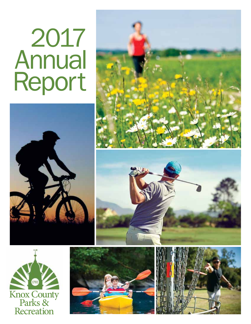# 2017 Annual Report











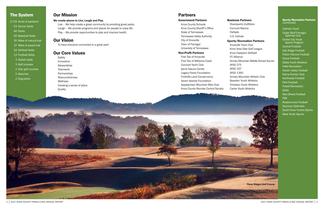#### Government Partners

Knox County Schools Knox County Sheriff's Office State of Tennessee Tennessee Valley Authority City of Knoxville Town of Farragut University of Tennessee

#### Non-Profit Partners

First Tee of Knoxville First Tee of Williams Creek Concord Yacht Club Ijams Nature Center Legacy Parks Foundation Foothills Land Conservancy Seven Islands Foundation Appalachian Mountain Bike Club Knox County Remote Control Society

# Our Mission

#### We create places to Live, Laugh and Play.

Catholic Youth Cedar Bluff Farragut Optimist Club Center City Youth Sports Program Central Football Oak Ridge Football Fulton Falcons Football Grace Football Gibbs Youth Athletics Halls Recreation Hardin Valley Football Karns Ruritan Club Northwest Football Pilot Football Powell Recreation EKAA New Breed Football FBA Roadrunners Football Seymour Optimists South Knox Youths Sports West Youth Sports

Live – We help create a great community by providing great parks. Laugh – We provide programs and places for people to enjoy life. Play – We provide opportunities to play and improve health.

# Our Vision

To have everyone connected to a great park

## Our Core Values

**Safety** Innovation **Stewardship Teamwork Partnerships Resourcefulness** Wellness Creating a sense of place **Ouality** 

#### Business Partners

Riversports Outfitters Concord Marina PetSafe U.S. Cellular

#### Sports/Recreation Partners

Knoxville Track Club Knox Area Disk Golf League Knox Fastpitch Softball FC Alliance Smoky Mountain Middle School Soccer AYSO 275 AYSO 337 AYSO 1390 Smoky Mountain Athletic Club Bearden Youth Athletics Christian Youth Athletics Carter Youth Athletics

#### Sports/Recreation Partners (continued)



# The System **Our Mission County of County Act and County Act and Partners Partners**

- 2,715 Acres of parkland
- 53 Soccer fields
- 46 Parks
- 40 Baseball fields
- 35 Miles of natural trail
- 27 Miles of paved trail
- 24 Softball fields
- 13 Football fields
- 3 Splash pads
- 3 Golf courses
- 2 Disc golf courses
- 2 Beaches
- 2 Dog parks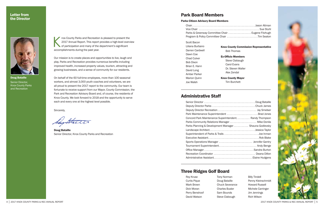|  |  |  |  | . Jason Altman    |
|--|--|--|--|-------------------|
|  |  |  |  | . Sue Stuhl       |
|  |  |  |  | . Eugene Fitzhugh |
|  |  |  |  | . Tim Seaton      |
|  |  |  |  |                   |

# Park Board Members

#### Parks Citizen Advisory Board Members

| Parks & Greenway Committee Chair  Eugene Fitzhugh |
|---------------------------------------------------|
| Program & Policy Committee Chair Tim Seaton       |

nox County Parks and Recreation is pleased to present the<br>2017 Annual Report. This report provides a high-level overv<br>of participation and many of the department's significant<br>2000pmlichmonts during the past veer 2017 Annual Report. This report provides a high-level overview of participation and many of the department's significant accomplishments during the past year.

Scott Bacon Liliana Burbano Darren Cardwell Dawn Coe Chad Culver Bob Dixon Brian E. Hann David Long Amber Parker Marion Quinn Joe Walsh

### Letter from the Director



Doug Bataille Senior Director, Knox County Parks and Recreation

Our mission is to create places and opportunities to live, laugh and play. Parks and Recreation provides numerous benefits including improved health, increased property values, tourism, attracting and growing businesses, and a sense of community for our residents.

On behalf of the 60 full-time employees, more than 100 seasonal workers, and almost 3,000 youth coaches and volunteers, we are all proud to present the 2017 report to the community. Our team is fortunate to receive support from our Mayor, County Commission, the Park and Recreation Advisory Board and, of course, the residents of Knox County. We look forward to 2018 and the opportunity to serve each and every one at the highest level possible.

Sincerely,

Saystreet

Doug Bataille Senior Director, Knox County Parks and Recreation

# Administrative Staff

| Deputy Director Parks Chuck James                      |  |
|--------------------------------------------------------|--|
|                                                        |  |
| Park Maintenance Superintendent  Brad Jones            |  |
| Concord Park Maintenance Superintendent Randy Thompson |  |
| Parks Community Relations Manager  Mike Donila         |  |
| Parks Planning & Development Manager Shauna Godlevsky  |  |
| Landscape ArchitectJessica Taylor                      |  |
| Superintendent of Parks & Trails Joe Inman             |  |
|                                                        |  |
| Sports Operations Manager  Jennifer Gentry             |  |
| Tournament Superintendent Andy Benge                   |  |
|                                                        |  |
| Recreation Coordinator  Deana Dillon                   |  |
|                                                        |  |
|                                                        |  |

#### Knox County Commission Representative Bob Thomas

Ex-Officio Members Steve Clabaugh Carol Evans Dr. Steven Waller Alex Zendal

Knox County Mayor

Tim Burchett

# Three Ridges Golf Board

Roy Kruse Curtis Pique Mark Brown Dick Moran Perry Benshoof David Watson

Tony Norman Doug Bataille Chuck Severance Charles Busler Sam Bounds Steve Clabough

Billy Tindell Penny Kleinschmidt Howard Russell Michele Carringer Jim Jennings Rich Wilson

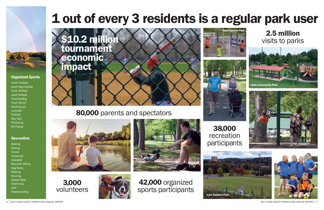6 │ 2017 KNOX COUNTY PARKS & REC ANNUAL REPORT 2017 KNOX COUNTY PARKS & REC ANNUAL REPORT │ 7



# 80,000 parents and spectators





## Organized Sports

Youth Football Adult Flag Football Youth Softball Adult Softball **Cheerleading** Youth Soccer Adult Soccer Lacrosse **Kickball** Disc Golf **Picnicking** RC Planes

# Recreation

**Boating Fishing Tennis** Pickle ball **Volleyball** Mountain Biking Dog Parks **Walking** Running Splash Pads Swimming **Golf Skateboarding** 









42,000 organized

sports participants





3,000 volunteers





# New Harvest Park 2.5 million 1 out of every 3 residents is a regular park user

38,000 recreation participants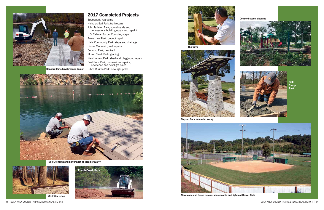Sportspark, regrading Nicholas Ball Park, trail repairs John Tarleton Park, scoreboards and concessions building repair and repaint U.S. Cellular Soccer Complex, steps Powell Levi Park, dugout repair Halls Community Park, steps and drainage House Mountain, trail repairs Concord Park, new trail Plumb Creek Park, grading New Harvest Park, shed and playground repair East Knox Park, concessions repairs, new fence and new light poles Concord Park, kayak/canoe launch Gibbs Ruritan Park, new light poles



# 2017 Completed Projects



New slope and fence repairs, scoreboards and lights at Bower Field



Dock, fencing and parking lot at Mead's Quarry









Clayton Park memorial swing

#### Concord storm clean-up





Ball **Camp** Park

The Cove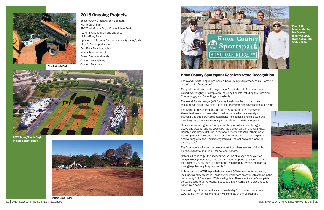Beaver Creek Greenway corridor study Plumb Creek Park BMX Track/South-Doyle Middle School fields I.C. King Park addition and entrance McBee Ferry Park Updated public maps for county and city parks/trails Mead's Quarry parking lot East Knox Park light poles Annual background checks Bower Field scoreboards Concord Park lighting Concord Park trails



2018 Ongoing Projects

# Knox County Sportspark Receives State Recognition

Plumb Creek Park





BMX Track/South-Doyle Middle School fields



From left: Jennifer Gentry, Joe Braden, Jimmy Cooper, Ryan Reuss, and Andy Benge



The World Sports League has named Knox County's Sportpark as its "Complex of the Year for Tennessee."

The park, nominated by the organization's state board of directors, was picked over roughly 40 complexes, including finalists including the Summit in Chattanooga, and Cane Ridge in Nashville.

The World Sports League (WSL) is a national organization that hosts thousands of adult slow-pitch softball tournaments across 34 states each year.

The Knox County Sportspark, located at 8050 Oak Ridge Highway in Karns, features four baseball/softball fields, one field exclusively for baseball, and three practice football fields. The park also has a playground, a walking trail, concessions, a kayak launch and a pavilion for picnics.

"Each year we recognize a 'complex of the year' whose staff has gone above and beyond, and we've always had a great partnership with Knox County," said Casey McClure, a regional director with WSL. "There were 39 complexes in the state of Tennessee used last year, so it's a big deal, and working with (the Knox County Parks & Recreation Department) is always great."

The Sportspark will now compete against four others – ones in Virginia, Florida, Alabama and Ohio – for national honors.

"It took all of us to get this recognition, so I want to say 'thank you' for everyone doing their part," said Jennifer Gentry, sports operation manager for the Knox County Parks & Recreation Department. "When the team is rowing together, anything is possible."

In Tennessee, the WSL typically hosts about 500 tournaments each year, including six "key dates" in Knox County, which "are pretty much staples in the community," McClure said. "This is a big deal. There's not a lot of slow pitch softball places left in Knoxville. But people know Karns is the place to go to play in nice parks."

The next major tournament is set for early May 2018, when more than 120 teams from across the nation will compete at the Sportspark.